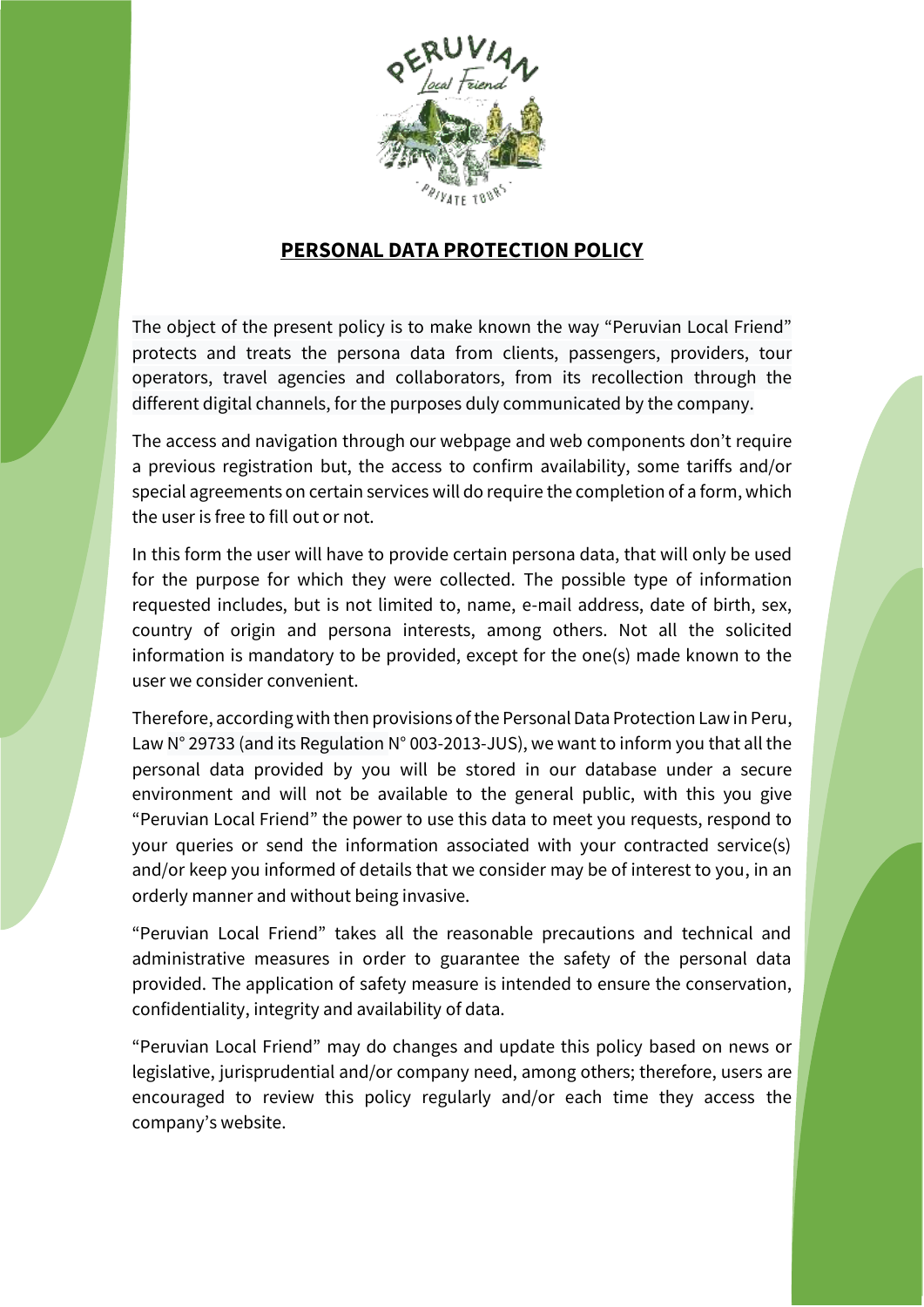

## **PERSONAL DATA PROTECTION POLICY**

The object of the present policy is to make known the way "Peruvian Local Friend" protects and treats the persona data from clients, passengers, providers, tour operators, travel agencies and collaborators, from its recollection through the different digital channels, for the purposes duly communicated by the company.

The access and navigation through our webpage and web components don't require a previous registration but, the access to confirm availability, some tariffs and/or special agreements on certain services will do require the completion of a form, which the user is free to fill out or not.

In this form the user will have to provide certain persona data, that will only be used for the purpose for which they were collected. The possible type of information requested includes, but is not limited to, name, e-mail address, date of birth, sex, country of origin and persona interests, among others. Not all the solicited information is mandatory to be provided, except for the one(s) made known to the user we consider convenient.

Therefore, according with then provisions of the Personal Data Protection Law in Peru, Law N° 29733 (and its Regulation N° 003-2013-JUS), we want to inform you that all the personal data provided by you will be stored in our database under a secure environment and will not be available to the general public, with this you give "Peruvian Local Friend" the power to use this data to meet you requests, respond to your queries or send the information associated with your contracted service(s) and/or keep you informed of details that we consider may be of interest to you, in an orderly manner and without being invasive.

"Peruvian Local Friend" takes all the reasonable precautions and technical and administrative measures in order to guarantee the safety of the personal data provided. The application of safety measure is intended to ensure the conservation, confidentiality, integrity and availability of data.

"Peruvian Local Friend" may do changes and update this policy based on news or legislative, jurisprudential and/or company need, among others; therefore, users are encouraged to review this policy regularly and/or each time they access the company's website.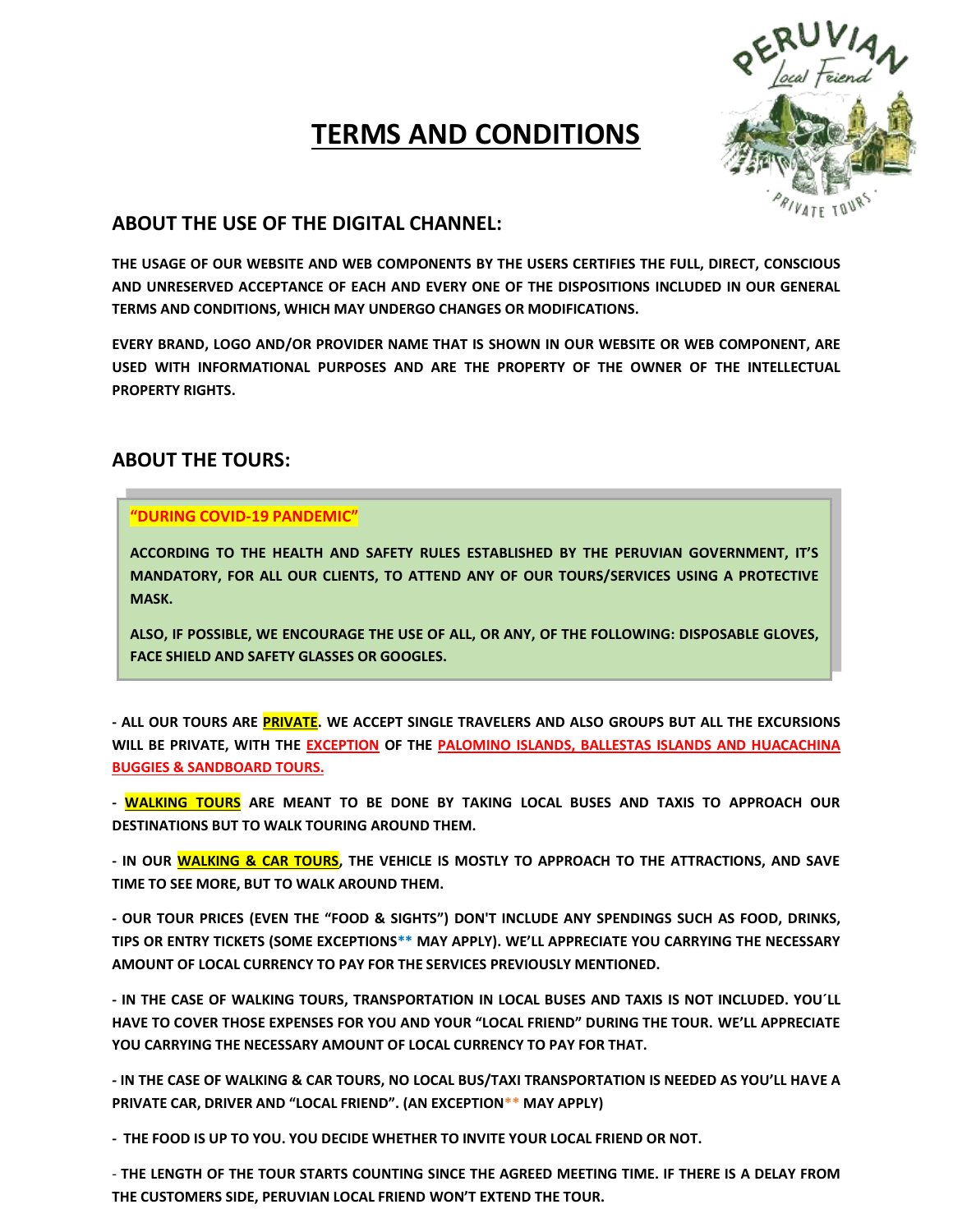# **TERMS AND CONDITIONS**



## **ABOUT THE USE OF THE DIGITAL CHANNEL:**

**THE USAGE OF OUR WEBSITE AND WEB COMPONENTS BY THE USERS CERTIFIES THE FULL, DIRECT, CONSCIOUS AND UNRESERVED ACCEPTANCE OF EACH AND EVERY ONE OF THE DISPOSITIONS INCLUDED IN OUR GENERAL TERMS AND CONDITIONS, WHICH MAY UNDERGO CHANGES OR MODIFICATIONS.**

**EVERY BRAND, LOGO AND/OR PROVIDER NAME THAT IS SHOWN IN OUR WEBSITE OR WEB COMPONENT, ARE USED WITH INFORMATIONAL PURPOSES AND ARE THE PROPERTY OF THE OWNER OF THE INTELLECTUAL PROPERTY RIGHTS.**

## **ABOUT THE TOURS:**

### **"DURING COVID-19 PANDEMIC"**

**ACCORDING TO THE HEALTH AND SAFETY RULES ESTABLISHED BY THE PERUVIAN GOVERNMENT, IT'S MANDATORY, FOR ALL OUR CLIENTS, TO ATTEND ANY OF OUR TOURS/SERVICES USING A PROTECTIVE MASK.**

**ALSO, IF POSSIBLE, WE ENCOURAGE THE USE OF ALL, OR ANY, OF THE FOLLOWING: DISPOSABLE GLOVES, FACE SHIELD AND SAFETY GLASSES OR GOOGLES.** 

**- ALL OUR TOURS ARE PRIVATE. WE ACCEPT SINGLE TRAVELERS AND ALSO GROUPS BUT ALL THE EXCURSIONS WILL BE PRIVATE, WITH THE EXCEPTION OF THE PALOMINO ISLANDS, BALLESTAS ISLANDS AND HUACACHINA BUGGIES & SANDBOARD TOURS.**

**- WALKING TOURS ARE MEANT TO BE DONE BY TAKING LOCAL BUSES AND TAXIS TO APPROACH OUR DESTINATIONS BUT TO WALK TOURING AROUND THEM.**

**- IN OUR WALKING & CAR TOURS, THE VEHICLE IS MOSTLY TO APPROACH TO THE ATTRACTIONS, AND SAVE TIME TO SEE MORE, BUT TO WALK AROUND THEM.**

**- OUR TOUR PRICES (EVEN THE "FOOD & SIGHTS") DON'T INCLUDE ANY SPENDINGS SUCH AS FOOD, DRINKS, TIPS OR ENTRY TICKETS (SOME EXCEPTIONS\*\* MAY APPLY). WE'LL APPRECIATE YOU CARRYING THE NECESSARY AMOUNT OF LOCAL CURRENCY TO PAY FOR THE SERVICES PREVIOUSLY MENTIONED.**

**- IN THE CASE OF WALKING TOURS, TRANSPORTATION IN LOCAL BUSES AND TAXIS IS NOT INCLUDED. YOU´LL HAVE TO COVER THOSE EXPENSES FOR YOU AND YOUR "LOCAL FRIEND" DURING THE TOUR. WE'LL APPRECIATE YOU CARRYING THE NECESSARY AMOUNT OF LOCAL CURRENCY TO PAY FOR THAT.**

**- IN THE CASE OF WALKING & CAR TOURS, NO LOCAL BUS/TAXI TRANSPORTATION IS NEEDED AS YOU'LL HAVE A PRIVATE CAR, DRIVER AND "LOCAL FRIEND". (AN EXCEPTION\*\* MAY APPLY)**

**- THE FOOD IS UP TO YOU. YOU DECIDE WHETHER TO INVITE YOUR LOCAL FRIEND OR NOT.**

- **THE LENGTH OF THE TOUR STARTS COUNTING SINCE THE AGREED MEETING TIME. IF THERE IS A DELAY FROM THE CUSTOMERS SIDE, PERUVIAN LOCAL FRIEND WON'T EXTEND THE TOUR.**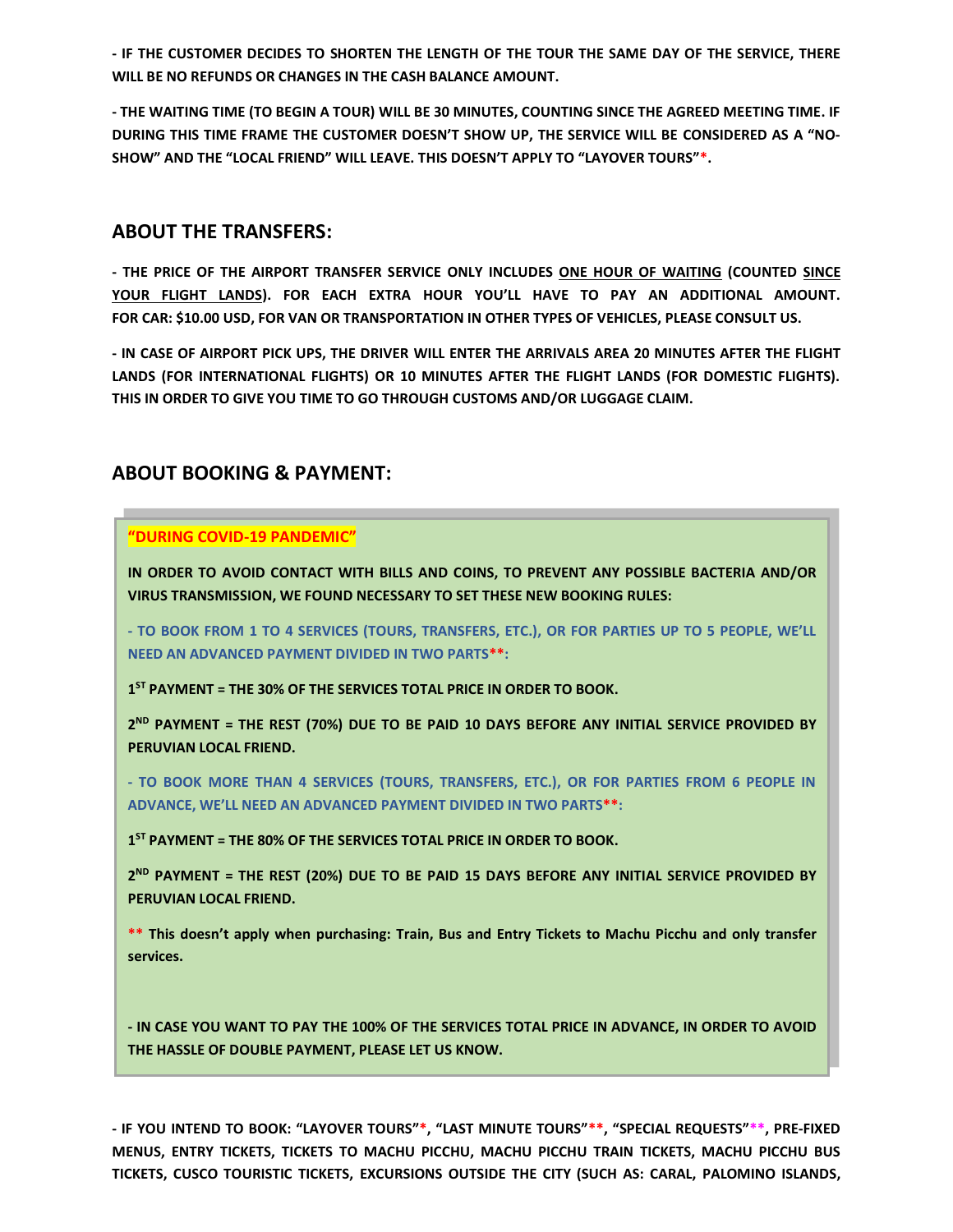**- IF THE CUSTOMER DECIDES TO SHORTEN THE LENGTH OF THE TOUR THE SAME DAY OF THE SERVICE, THERE WILL BE NO REFUNDS OR CHANGES IN THE CASH BALANCE AMOUNT.**

**- THE WAITING TIME (TO BEGIN A TOUR) WILL BE 30 MINUTES, COUNTING SINCE THE AGREED MEETING TIME. IF DURING THIS TIME FRAME THE CUSTOMER DOESN'T SHOW UP, THE SERVICE WILL BE CONSIDERED AS A "NO-SHOW" AND THE "LOCAL FRIEND" WILL LEAVE. THIS DOESN'T APPLY TO "LAYOVER TOURS"\*.**

### **ABOUT THE TRANSFERS:**

**- THE PRICE OF THE AIRPORT TRANSFER SERVICE ONLY INCLUDES ONE HOUR OF WAITING (COUNTED SINCE YOUR FLIGHT LANDS). FOR EACH EXTRA HOUR YOU'LL HAVE TO PAY AN ADDITIONAL AMOUNT. FOR CAR: \$10.00 USD, FOR VAN OR TRANSPORTATION IN OTHER TYPES OF VEHICLES, PLEASE CONSULT US.**

**- IN CASE OF AIRPORT PICK UPS, THE DRIVER WILL ENTER THE ARRIVALS AREA 20 MINUTES AFTER THE FLIGHT LANDS (FOR INTERNATIONAL FLIGHTS) OR 10 MINUTES AFTER THE FLIGHT LANDS (FOR DOMESTIC FLIGHTS). THIS IN ORDER TO GIVE YOU TIME TO GO THROUGH CUSTOMS AND/OR LUGGAGE CLAIM.**

### **ABOUT BOOKING & PAYMENT:**

### **"DURING COVID-19 PANDEMIC"**

**IN ORDER TO AVOID CONTACT WITH BILLS AND COINS, TO PREVENT ANY POSSIBLE BACTERIA AND/OR VIRUS TRANSMISSION, WE FOUND NECESSARY TO SET THESE NEW BOOKING RULES:**

**- TO BOOK FROM 1 TO 4 SERVICES (TOURS, TRANSFERS, ETC.), OR FOR PARTIES UP TO 5 PEOPLE, WE'LL NEED AN ADVANCED PAYMENT DIVIDED IN TWO PARTS\*\*:**

**1 ST PAYMENT = THE 30% OF THE SERVICES TOTAL PRICE IN ORDER TO BOOK.**

**2 ND PAYMENT = THE REST (70%) DUE TO BE PAID 10 DAYS BEFORE ANY INITIAL SERVICE PROVIDED BY PERUVIAN LOCAL FRIEND.**

**- TO BOOK MORE THAN 4 SERVICES (TOURS, TRANSFERS, ETC.), OR FOR PARTIES FROM 6 PEOPLE IN ADVANCE, WE'LL NEED AN ADVANCED PAYMENT DIVIDED IN TWO PARTS\*\*:**

**1 ST PAYMENT = THE 80% OF THE SERVICES TOTAL PRICE IN ORDER TO BOOK.**

**2 ND PAYMENT = THE REST (20%) DUE TO BE PAID 15 DAYS BEFORE ANY INITIAL SERVICE PROVIDED BY PERUVIAN LOCAL FRIEND.**

**\*\* This doesn't apply when purchasing: Train, Bus and Entry Tickets to Machu Picchu and only transfer services.**

**- IN CASE YOU WANT TO PAY THE 100% OF THE SERVICES TOTAL PRICE IN ADVANCE, IN ORDER TO AVOID THE HASSLE OF DOUBLE PAYMENT, PLEASE LET US KNOW.**

**- IF YOU INTEND TO BOOK: "LAYOVER TOURS"\*, "LAST MINUTE TOURS"\*\*, "SPECIAL REQUESTS"\*\*, PRE-FIXED MENUS, ENTRY TICKETS, TICKETS TO MACHU PICCHU, MACHU PICCHU TRAIN TICKETS, MACHU PICCHU BUS TICKETS, CUSCO TOURISTIC TICKETS, EXCURSIONS OUTSIDE THE CITY (SUCH AS: CARAL, PALOMINO ISLANDS,**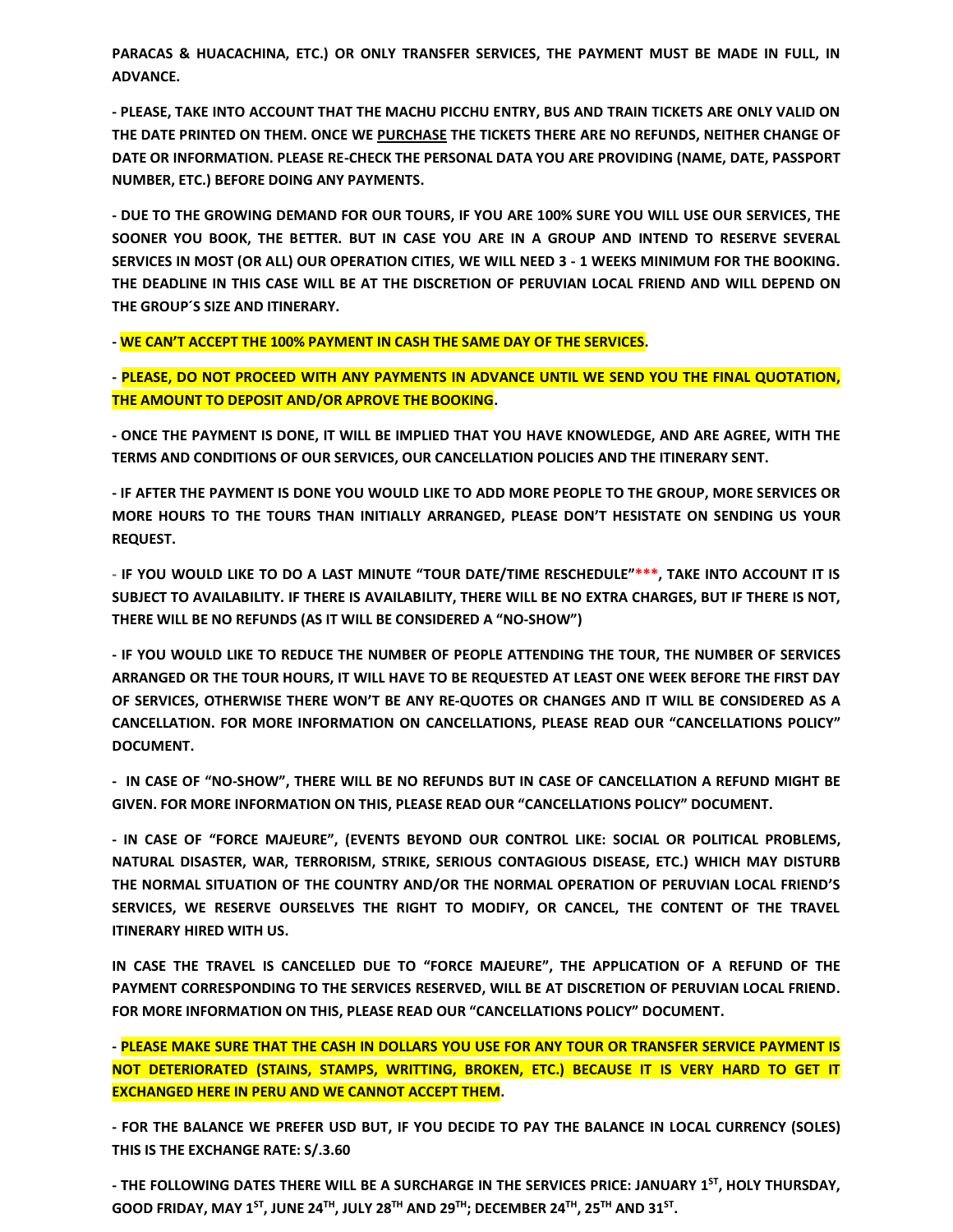**PARACAS & HUACACHINA, ETC.) OR ONLY TRANSFER SERVICES, THE PAYMENT MUST BE MADE IN FULL, IN ADVANCE.**

**- PLEASE, TAKE INTO ACCOUNT THAT THE MACHU PICCHU ENTRY, BUS AND TRAIN TICKETS ARE ONLY VALID ON THE DATE PRINTED ON THEM. ONCE WE PURCHASE THE TICKETS THERE ARE NO REFUNDS, NEITHER CHANGE OF DATE OR INFORMATION. PLEASE RE-CHECK THE PERSONAL DATA YOU ARE PROVIDING (NAME, DATE, PASSPORT NUMBER, ETC.) BEFORE DOING ANY PAYMENTS.**

**- DUE TO THE GROWING DEMAND FOR OUR TOURS, IF YOU ARE 100% SURE YOU WILL USE OUR SERVICES, THE SOONER YOU BOOK, THE BETTER. BUT IN CASE YOU ARE IN A GROUP AND INTEND TO RESERVE SEVERAL SERVICES IN MOST (OR ALL) OUR OPERATION CITIES, WE WILL NEED 3 - 1 WEEKS MINIMUM FOR THE BOOKING. THE DEADLINE IN THIS CASE WILL BE AT THE DISCRETION OF PERUVIAN LOCAL FRIEND AND WILL DEPEND ON THE GROUP´S SIZE AND ITINERARY.**

**- WE CAN'T ACCEPT THE 100% PAYMENT IN CASH THE SAME DAY OF THE SERVICES.** 

**- PLEASE, DO NOT PROCEED WITH ANY PAYMENTS IN ADVANCE UNTIL WE SEND YOU THE FINAL QUOTATION, THE AMOUNT TO DEPOSIT AND/OR APROVE THE BOOKING.**

**- ONCE THE PAYMENT IS DONE, IT WILL BE IMPLIED THAT YOU HAVE KNOWLEDGE, AND ARE AGREE, WITH THE TERMS AND CONDITIONS OF OUR SERVICES, OUR CANCELLATION POLICIES AND THE ITINERARY SENT.**

**- IF AFTER THE PAYMENT IS DONE YOU WOULD LIKE TO ADD MORE PEOPLE TO THE GROUP, MORE SERVICES OR MORE HOURS TO THE TOURS THAN INITIALLY ARRANGED, PLEASE DON'T HESISTATE ON SENDING US YOUR REQUEST.**

**- IF YOU WOULD LIKE TO DO A LAST MINUTE "TOUR DATE/TIME RESCHEDULE"\*\*\*, TAKE INTO ACCOUNT IT IS SUBJECT TO AVAILABILITY. IF THERE IS AVAILABILITY, THERE WILL BE NO EXTRA CHARGES, BUT IF THERE IS NOT, THERE WILL BE NO REFUNDS (AS IT WILL BE CONSIDERED A "NO-SHOW")**

**- IF YOU WOULD LIKE TO REDUCE THE NUMBER OF PEOPLE ATTENDING THE TOUR, THE NUMBER OF SERVICES ARRANGED OR THE TOUR HOURS, IT WILL HAVE TO BE REQUESTED AT LEAST ONE WEEK BEFORE THE FIRST DAY OF SERVICES, OTHERWISE THERE WON'T BE ANY RE-QUOTES OR CHANGES AND IT WILL BE CONSIDERED AS A CANCELLATION. FOR MORE INFORMATION ON CANCELLATIONS, PLEASE READ OUR "CANCELLATIONS POLICY" DOCUMENT.**

**- IN CASE OF "NO-SHOW", THERE WILL BE NO REFUNDS BUT IN CASE OF CANCELLATION A REFUND MIGHT BE GIVEN. FOR MORE INFORMATION ON THIS, PLEASE READ OUR "CANCELLATIONS POLICY" DOCUMENT.**

**- IN CASE OF "FORCE MAJEURE", (EVENTS BEYOND OUR CONTROL LIKE: SOCIAL OR POLITICAL PROBLEMS, NATURAL DISASTER, WAR, TERRORISM, STRIKE, SERIOUS CONTAGIOUS DISEASE, ETC.) WHICH MAY DISTURB THE NORMAL SITUATION OF THE COUNTRY AND/OR THE NORMAL OPERATION OF PERUVIAN LOCAL FRIEND'S SERVICES, WE RESERVE OURSELVES THE RIGHT TO MODIFY, OR CANCEL, THE CONTENT OF THE TRAVEL ITINERARY HIRED WITH US.**

**IN CASE THE TRAVEL IS CANCELLED DUE TO "FORCE MAJEURE", THE APPLICATION OF A REFUND OF THE PAYMENT CORRESPONDING TO THE SERVICES RESERVED, WILL BE AT DISCRETION OF PERUVIAN LOCAL FRIEND. FOR MORE INFORMATION ON THIS, PLEASE READ OUR "CANCELLATIONS POLICY" DOCUMENT.**

**- PLEASE MAKE SURE THAT THE CASH IN DOLLARS YOU USE FOR ANY TOUR OR TRANSFER SERVICE PAYMENT IS NOT DETERIORATED (STAINS, STAMPS, WRITTING, BROKEN, ETC.) BECAUSE IT IS VERY HARD TO GET IT EXCHANGED HERE IN PERU AND WE CANNOT ACCEPT THEM.**

**- FOR THE BALANCE WE PREFER USD BUT, IF YOU DECIDE TO PAY THE BALANCE IN LOCAL CURRENCY (SOLES) THIS IS THE EXCHANGE RATE: S/.3.60**

**- THE FOLLOWING DATES THERE WILL BE A SURCHARGE IN THE SERVICES PRICE: JANUARY 1ST , HOLY THURSDAY, GOOD FRIDAY, MAY 1ST , JUNE 24TH , JULY 28TH AND 29TH; DECEMBER 24TH, 25TH AND 31ST .**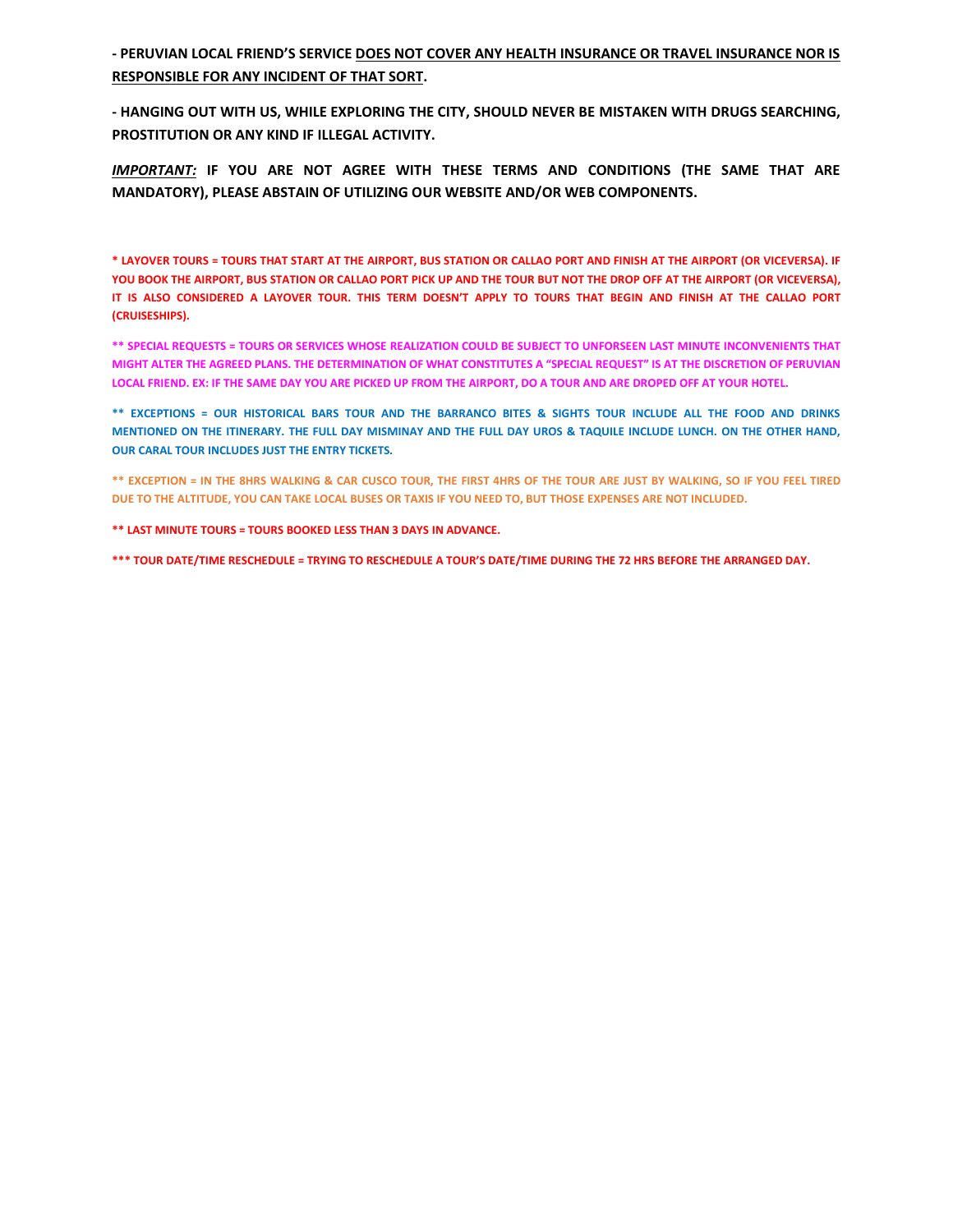**- PERUVIAN LOCAL FRIEND'S SERVICE DOES NOT COVER ANY HEALTH INSURANCE OR TRAVEL INSURANCE NOR IS RESPONSIBLE FOR ANY INCIDENT OF THAT SORT.**

**- HANGING OUT WITH US, WHILE EXPLORING THE CITY, SHOULD NEVER BE MISTAKEN WITH DRUGS SEARCHING, PROSTITUTION OR ANY KIND IF ILLEGAL ACTIVITY.**

*IMPORTANT:* **IF YOU ARE NOT AGREE WITH THESE TERMS AND CONDITIONS (THE SAME THAT ARE MANDATORY), PLEASE ABSTAIN OF UTILIZING OUR WEBSITE AND/OR WEB COMPONENTS.**

**\* LAYOVER TOURS = TOURS THAT START AT THE AIRPORT, BUS STATION OR CALLAO PORT AND FINISH AT THE AIRPORT (OR VICEVERSA). IF YOU BOOK THE AIRPORT, BUS STATION OR CALLAO PORT PICK UP AND THE TOUR BUT NOT THE DROP OFF AT THE AIRPORT (OR VICEVERSA), IT IS ALSO CONSIDERED A LAYOVER TOUR. THIS TERM DOESN'T APPLY TO TOURS THAT BEGIN AND FINISH AT THE CALLAO PORT (CRUISESHIPS).**

**\*\* SPECIAL REQUESTS = TOURS OR SERVICES WHOSE REALIZATION COULD BE SUBJECT TO UNFORSEEN LAST MINUTE INCONVENIENTS THAT MIGHT ALTER THE AGREED PLANS. THE DETERMINATION OF WHAT CONSTITUTES A "SPECIAL REQUEST" IS AT THE DISCRETION OF PERUVIAN LOCAL FRIEND. EX: IF THE SAME DAY YOU ARE PICKED UP FROM THE AIRPORT, DO A TOUR AND ARE DROPED OFF AT YOUR HOTEL.**

**\*\* EXCEPTIONS = OUR HISTORICAL BARS TOUR AND THE BARRANCO BITES & SIGHTS TOUR INCLUDE ALL THE FOOD AND DRINKS MENTIONED ON THE ITINERARY. THE FULL DAY MISMINAY AND THE FULL DAY UROS & TAQUILE INCLUDE LUNCH. ON THE OTHER HAND, OUR CARAL TOUR INCLUDES JUST THE ENTRY TICKETS.**

**\*\* EXCEPTION = IN THE 8HRS WALKING & CAR CUSCO TOUR, THE FIRST 4HRS OF THE TOUR ARE JUST BY WALKING, SO IF YOU FEEL TIRED DUE TO THE ALTITUDE, YOU CAN TAKE LOCAL BUSES OR TAXIS IF YOU NEED TO, BUT THOSE EXPENSES ARE NOT INCLUDED.**

**\*\* LAST MINUTE TOURS = TOURS BOOKED LESS THAN 3 DAYS IN ADVANCE.**

**\*\*\* TOUR DATE/TIME RESCHEDULE = TRYING TO RESCHEDULE A TOUR'S DATE/TIME DURING THE 72 HRS BEFORE THE ARRANGED DAY.**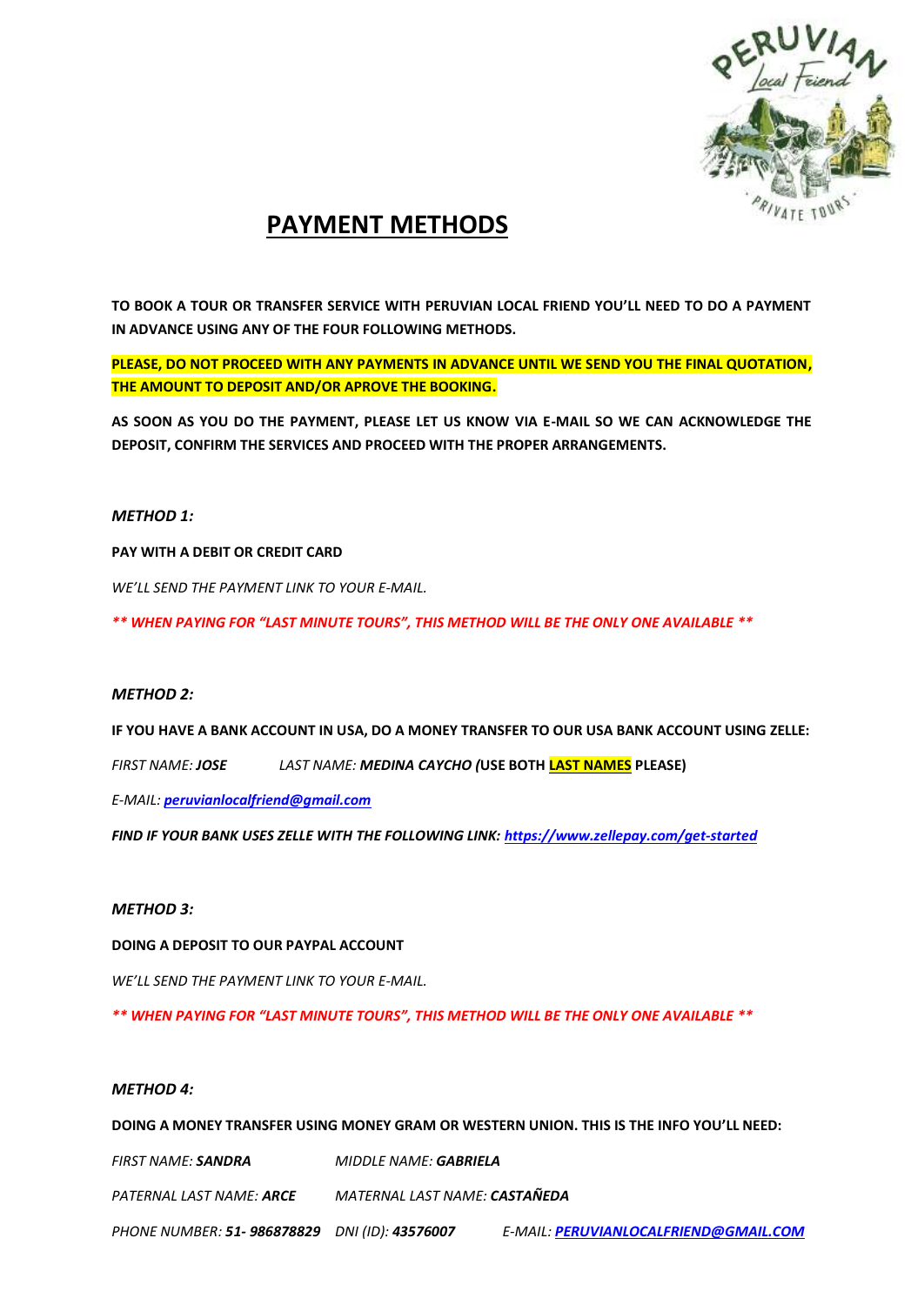

## **PAYMENT METHODS**

**TO BOOK A TOUR OR TRANSFER SERVICE WITH PERUVIAN LOCAL FRIEND YOU'LL NEED TO DO A PAYMENT IN ADVANCE USING ANY OF THE FOUR FOLLOWING METHODS.**

**PLEASE, DO NOT PROCEED WITH ANY PAYMENTS IN ADVANCE UNTIL WE SEND YOU THE FINAL QUOTATION, THE AMOUNT TO DEPOSIT AND/OR APROVE THE BOOKING.**

**AS SOON AS YOU DO THE PAYMENT, PLEASE LET US KNOW VIA E-MAIL SO WE CAN ACKNOWLEDGE THE DEPOSIT, CONFIRM THE SERVICES AND PROCEED WITH THE PROPER ARRANGEMENTS.**

### *METHOD 1:*

**PAY WITH A DEBIT OR CREDIT CARD**

*WE'LL SEND THE PAYMENT LINK TO YOUR E-MAIL.*

*\*\* WHEN PAYING FOR "LAST MINUTE TOURS", THIS METHOD WILL BE THE ONLY ONE AVAILABLE \*\**

### *METHOD 2:*

**IF YOU HAVE A BANK ACCOUNT IN USA, DO A MONEY TRANSFER TO OUR USA BANK ACCOUNT USING ZELLE:**

*FIRST NAME: JOSE LAST NAME: MEDINA CAYCHO (***USE BOTH LAST NAMES PLEASE)**

*E-MAIL: [peruvianlocalfriend@gmail.com](mailto:peruvianlocalfriend@gmail.com)*

*FIND IF YOUR BANK USES ZELLE WITH THE FOLLOWING LINK:<https://www.zellepay.com/get-started>*

### *METHOD 3:*

**DOING A DEPOSIT TO OUR PAYPAL ACCOUNT**

*WE'LL SEND THE PAYMENT LINK TO YOUR E-MAIL.*

*\*\* WHEN PAYING FOR "LAST MINUTE TOURS", THIS METHOD WILL BE THE ONLY ONE AVAILABLE \*\**

### *METHOD 4:*

**DOING A MONEY TRANSFER USING MONEY GRAM OR WESTERN UNION. THIS IS THE INFO YOU'LL NEED:**

*FIRST NAME: SANDRA MIDDLE NAME: GABRIELA*

*PATERNAL LAST NAME: ARCE MATERNAL LAST NAME: CASTAÑEDA*

*PHONE NUMBER: 51- 986878829 DNI (ID): 43576007 E-MAIL: [PERUVIANLOCALFRIEND@GMAIL.COM](mailto:PERUVIANLOCALFRIEND@GMAIL.COM)*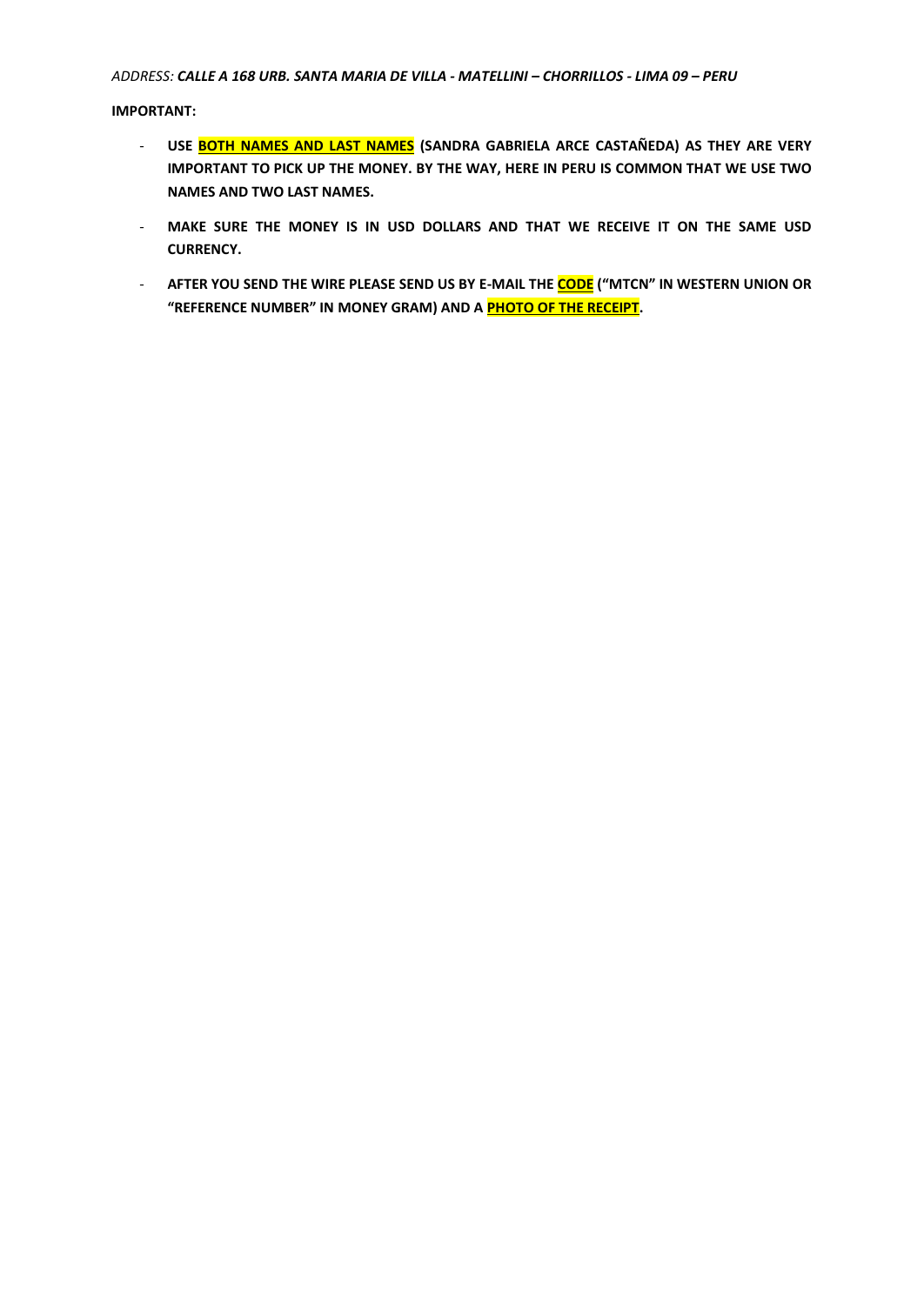### *ADDRESS: CALLE A 168 URB. SANTA MARIA DE VILLA - MATELLINI – CHORRILLOS - LIMA 09 – PERU*

**IMPORTANT:**

- **USE BOTH NAMES AND LAST NAMES (SANDRA GABRIELA ARCE CASTAÑEDA) AS THEY ARE VERY IMPORTANT TO PICK UP THE MONEY. BY THE WAY, HERE IN PERU IS COMMON THAT WE USE TWO NAMES AND TWO LAST NAMES.**
- **MAKE SURE THE MONEY IS IN USD DOLLARS AND THAT WE RECEIVE IT ON THE SAME USD CURRENCY.**
- **AFTER YOU SEND THE WIRE PLEASE SEND US BY E-MAIL THE CODE ("MTCN" IN WESTERN UNION OR "REFERENCE NUMBER" IN MONEY GRAM) AND A PHOTO OF THE RECEIPT.**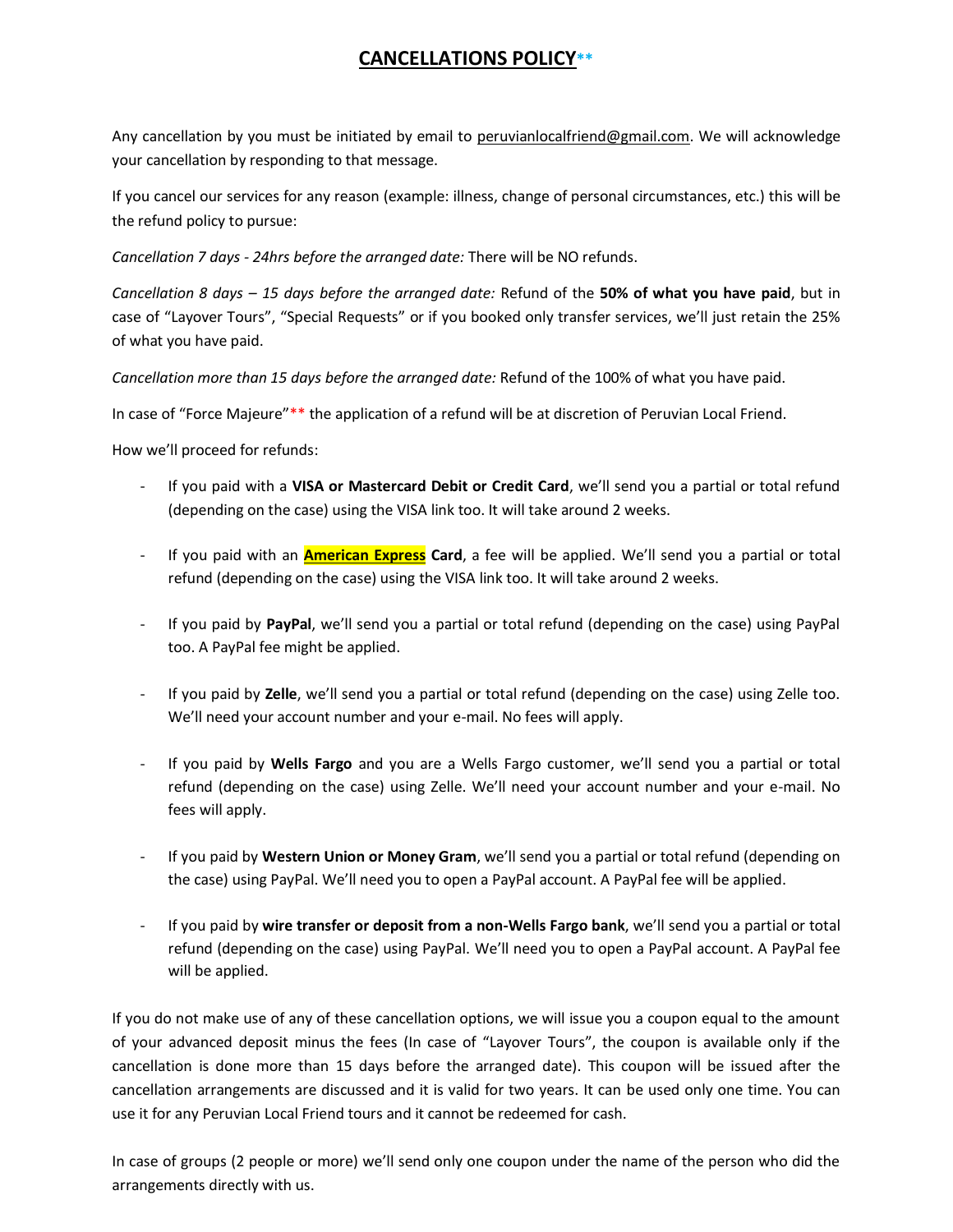## **CANCELLATIONS POLICY\*\***

Any cancellation by you must be initiated by email to [peruvianlocalfriend@gmail.com.](mailto:peruvianlocalfriend@gmail.com) We will acknowledge your cancellation by responding to that message.

If you cancel our services for any reason (example: illness, change of personal circumstances, etc.) this will be the refund policy to pursue:

*Cancellation 7 days - 24hrs before the arranged date:* There will be NO refunds.

*Cancellation 8 days – 15 days before the arranged date:* Refund of the **50% of what you have paid**, but in case of "Layover Tours", "Special Requests" or if you booked only transfer services, we'll just retain the 25% of what you have paid.

*Cancellation more than 15 days before the arranged date:* Refund of the 100% of what you have paid.

In case of "Force Majeure"\*\* the application of a refund will be at discretion of Peruvian Local Friend.

How we'll proceed for refunds:

- If you paid with a **VISA or Mastercard Debit or Credit Card**, we'll send you a partial or total refund (depending on the case) using the VISA link too. It will take around 2 weeks.
- If you paid with an **American Express Card**, a fee will be applied. We'll send you a partial or total refund (depending on the case) using the VISA link too. It will take around 2 weeks.
- If you paid by **PayPal**, we'll send you a partial or total refund (depending on the case) using PayPal too. A PayPal fee might be applied.
- If you paid by **Zelle**, we'll send you a partial or total refund (depending on the case) using Zelle too. We'll need your account number and your e-mail. No fees will apply.
- If you paid by **Wells Fargo** and you are a Wells Fargo customer, we'll send you a partial or total refund (depending on the case) using Zelle. We'll need your account number and your e-mail. No fees will apply.
- If you paid by **Western Union or Money Gram**, we'll send you a partial or total refund (depending on the case) using PayPal. We'll need you to open a PayPal account. A PayPal fee will be applied.
- If you paid by **wire transfer or deposit from a non-Wells Fargo bank**, we'll send you a partial or total refund (depending on the case) using PayPal. We'll need you to open a PayPal account. A PayPal fee will be applied.

If you do not make use of any of these cancellation options, we will issue you a coupon equal to the amount of your advanced deposit minus the fees (In case of "Layover Tours", the coupon is available only if the cancellation is done more than 15 days before the arranged date). This coupon will be issued after the cancellation arrangements are discussed and it is valid for two years. It can be used only one time. You can use it for any Peruvian Local Friend tours and it cannot be redeemed for cash.

In case of groups (2 people or more) we'll send only one coupon under the name of the person who did the arrangements directly with us.